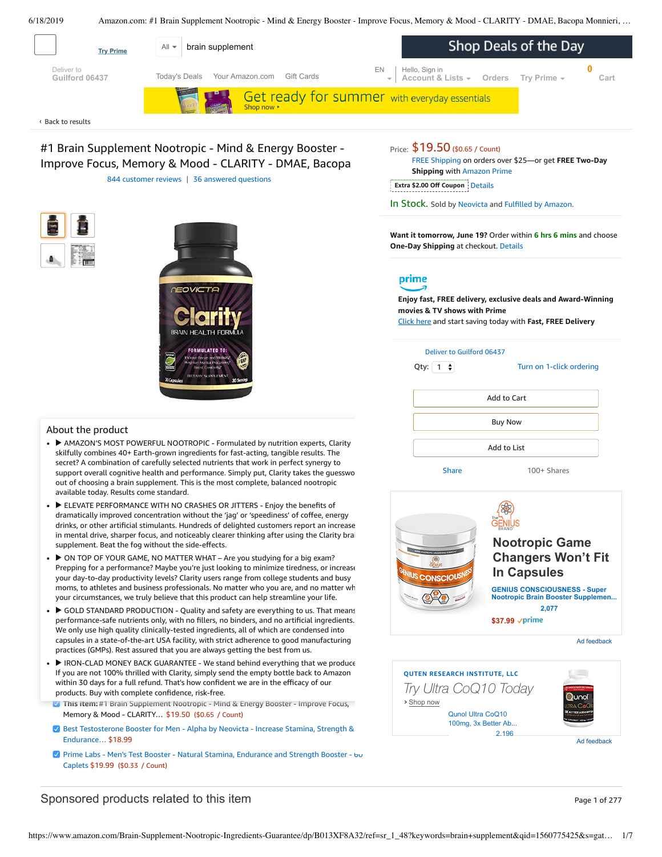<span id="page-0-0"></span>

#1 Brain Supplement Nootropic - Mind & Energy Booster - Improve Focus, Memory & Mood - CLARITY - DMAE, Bacopa 844 [customer](#page-3-0) reviews | 36 answered [questions](#page-3-1)





#### About the product

- ▶ AMAZON'S MOST POWERFUL NOOTROPIC Formulated by nutrition experts, Clarity skilfully combines 40+ Earth-grown ingredients for fast-acting, tangible results. The secret? A combination of carefully selected nutrients that work in perfect synergy to support overall cognitive health and performance. Simply put, Clarity takes the guesswo out of choosing a brain supplement. This is the most complete, balanced nootropic available today. Results come standard.
- ► ELEVATE PERFORMANCE WITH NO CRASHES OR JITTERS Enjoy the benefits of dramatically improved concentration without the 'jag' or 'speediness' of coffee, energy drinks, or other artificial stimulants. Hundreds of delighted customers report an increase in mental drive, sharper focus, and noticeably clearer thinking after using the Clarity brai [supplement.](https://www.amazon.com/gp/redirect.html/ref=amb_link_1?_encoding=UTF8&location=https%3A%2F%2Fwww.amazon.com%2Fb%3Fnode%3D17904040011&source=standards&token=BE1FBDC111DBAC62750B07A4AFAFEF6D1A082253&pf_rd_m=ATVPDKIKX0DER&pf_rd_s=product-alert&pf_rd_r=M2S70C5A1EN275SV7M6N&pf_rd_r=M2S70C5A1EN275SV7M6N&pf_rd_t=201&pf_rd_p=82fa76b4-9a2f-4417-8a70-702f37d37a30&pf_rd_p=82fa76b4-9a2f-4417-8a70-702f37d37a30&pf_rd_i=B013XF8A32) Beat the fog without the side-effects.
- ► ON TOP OF YOUR GAME, NO MATTER WHAT Are you studying for a big exam? Prepping for a performance? Maybe you're just looking to minimize tiredness, or increase your day-to-day productivity levels? Clarity users range from college students and busy moms, to athletes and business professionals. No matter who you are, and no matter wh your circumstances, we truly believe that this product can help streamline your life.
- your chromistances, we truly believe that this product can help streamline your the.<br>► ► GOLD STANDARD PRODUCTION Quality and safety are everything to us. That means performance-sare numerits only, with no niters, no binders, and no artificial ingredient<br>We only use high quality clinically-tested [ingredients](https://www.amazon.com/Prime-Labs-Testosterone-Booster-Caplets/dp/B01MQ1JLWY/ref=pd_bxgy_121_img_3/143-6729050-3493109?_encoding=UTF8&pd_rd_i=B01MQ1JLWY&pd_rd_r=2e1cbd07-91c9-11e9-a6be-6dd986981228&pd_rd_w=8MPfb&pd_rd_wg=YRFge&pf_rd_p=a2006322-0bc0-4db9-a08e-d168c18ce6f0&pf_rd_r=M2S70C5A1EN275SV7M6N&psc=1&refRID=M2S70C5A1EN275SV7M6N), all of which are condensed into capsules in a s[tate-of-the-art](https://www.amazon.com/Best-Testosterone-Booster-Supplement-Men/dp/B00UUJMFBS/ref=pd_bxgy_121_img_2/143-6729050-3493109?_encoding=UTF8&pd_rd_i=B00UUJMFBS&pd_rd_r=2e1cbd07-91c9-11e9-a6be-6dd986981228&pd_rd_w=8MPfb&pd_rd_wg=YRFge&pf_rd_p=a2006322-0bc0-4db9-a08e-d168c18ce6f0&pf_rd_r=M2S70C5A1EN275SV7M6N&psc=1&refRID=M2S70C5A1EN275SV7M6N) USA facility, with strict adherence to good manufacturing performance-safe nutrients only, with no fillers, no binders, and no artificial ingredients. practices (GMPs). Rest assured that you are always getting the best from us.
- practices (GPIFS). Rest assured that you are atways getting the best from us.<br>▶ IRON-CLAD MONEY BACK GUARANTEE We stand behind everything that we produce If you are not 100% thrilled with Clarity, simply send the empty bottle back to Amazon within 30 days for a full refund. That's how confident we are in the efficacy of our products. Buy with complete confidence, risk-free.
- **This item:** #1 Brain Supplement Nootropic Mind & Energy Booster Improve Focus, Memory & Mood - CLARITY… \$19.50 (\$0.65 / Count)
- **Best [Testosterone](https://www.amazon.com/Best-Testosterone-Booster-Supplement-Men/dp/B00UUJMFBS/ref=pd_bxgy_121_2/143-6729050-3493109?_encoding=UTF8&pd_rd_i=B00UUJMFBS&pd_rd_r=2e1cbd07-91c9-11e9-a6be-6dd986981228&pd_rd_w=8MPfb&pd_rd_wg=YRFge&pf_rd_p=a2006322-0bc0-4db9-a08e-d168c18ce6f0&pf_rd_r=M2S70C5A1EN275SV7M6N&psc=1&refRID=M2S70C5A1EN275SV7M6N) Booster for Men Alpha by Neovicta Increase Stamina, Strength &** Endurance… \$18.99
- **Prime Labs Men's Test Booster Natural Stamina, [Endurance](https://www.amazon.com/Prime-Labs-Testosterone-Booster-Caplets/dp/B01MQ1JLWY/ref=pd_bxgy_121_3/143-6729050-3493109?_encoding=UTF8&pd_rd_i=B01MQ1JLWY&pd_rd_r=2e1cbd07-91c9-11e9-a6be-6dd986981228&pd_rd_w=8MPfb&pd_rd_wg=YRFge&pf_rd_p=a2006322-0bc0-4db9-a08e-d168c18ce6f0&pf_rd_r=M2S70C5A1EN275SV7M6N&psc=1&refRID=M2S70C5A1EN275SV7M6N) and Strength Booster but** Caplets \$19.99 (\$0.33 / Count)

## Price: \$19.50 (\$0.65 / Count)

FREE [Shipping](javascript:void(0)) on orders over \$25—or get **FREE Two-Day Shipping** with [Amazon](https://www.amazon.com/gp/prime/pipeline/signup.html?ref=primedp_ventures_desktopBelowThreshold&primeCampaignId=primedp_ventures_desktopBelowThreshold) Prime

**Extra \$2.00 Off Coupon** Details

In Stock. Sold by [Neovicta](https://www.amazon.com/gp/help/seller/at-a-glance.html/ref=dp_merchant_link?ie=UTF8&seller=A31UFEUXNNWIWL&isAmazonFulfilled=1) and Fulfilled by [Amazon](https://www.amazon.com/gp/help/customer/display.html?ie=UTF8&ref=dp_fulfillment&nodeId=106096011).

**Want it tomorrow, June 19?** Order within **6 hrs 6 mins** and choose **One-Day Shipping** at checkout. [Details](https://www.amazon.com/gp/help/customer/display.html/ref=ftinfo_dp_?ie=UTF8&nodeId=3510241&pop-up=1)

#### prime

**Enjoy fast, FREE delivery, exclusive deals and Award-Winning movies & TV shows with Prime** Click here and start saving today with **Fast, FREE Delivery**



Turn on 1-click [ordering](https://www.amazon.com/gp/product/utility/edit-one-click-pref.html/ref=dp_oc_signin?ie=UTF8&query=&returnPath=%2Fgp%2Fproduct%2FB013XF8A32)





Ad feedback



Ad feedback

# Sponsored products related to this item Page 1 of 277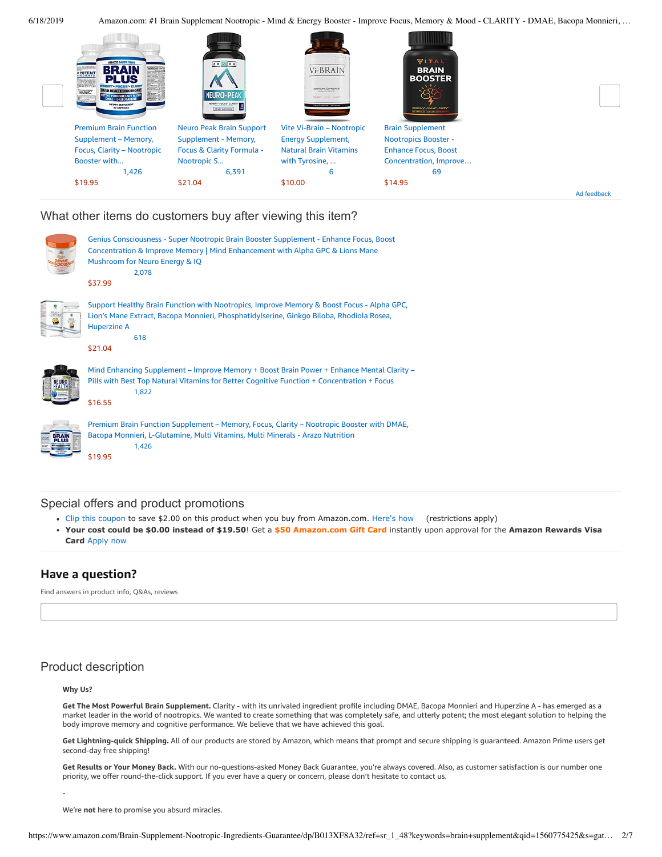

#### What other items do customers buy after viewing this item?



#### Special offers and product promotions

- [Clip this coupon](https://www.amazon.com/gp/sign-in.html?ie=UTF8&ref=&email=&redirectASIN=B013XF8A32&disableCorpSignUp=&path=%2Fgp%2Fcoupon%2Fc%2A1MLBU6BNATWFCFA2KWAJZXU70VKG&redirectProtocol=&mode=&useRedirectOnSuccess=1) to save \$2.00 on this product when you buy from Amazon.com. [Here's how](javascript:void(0))  (restrictions apply)
- **[Your cost could be \\$0.00 instead of \\$19.50](https://www.amazon.com/gp/cobrandcard/marketing.html?pr=con321&inc=50gcUnrec&ts=9lrgah3sealy5xseoi8d47sk5ktnfsd&dasin=B013XF8A32&plattr=math&place=detailpage&imp=8d40235c-7e1d-41c5-9137-39f12ca10429)**! Get a **\$50 Amazon.com Gift Card** instantly upon approval for the **Amazon Rewards Visa Card** Apply now

## **Have a question?**

Find answers in product info, Q&As, reviews

# Product description

#### **Why Us?**

-

**Get The Most Powerful Brain Supplement.** Clarity - with its unrivaled ingredient profile including DMAE, Bacopa Monnieri and Huperzine A - has emerged as a market leader in the world of nootropics. We wanted to create something that was completely safe, and utterly potent; the most elegant solution to helping the body improve memory and cognitive performance. We believe that we have achieved this goal.

**Get Lightning-quick Shipping.** All of our products are stored by Amazon, which means that prompt and secure shipping is guaranteed. Amazon Prime users get second-day free shipping!

**Get Results or Your Money Back.** With our no-questions-asked Money Back Guarantee, you're always covered. Also, as customer satisfaction is our number one priority, we offer round-the-click support. If you ever have a query or concern, please don't hesitate to contact us.

We're **not** here to promise you absurd miracles.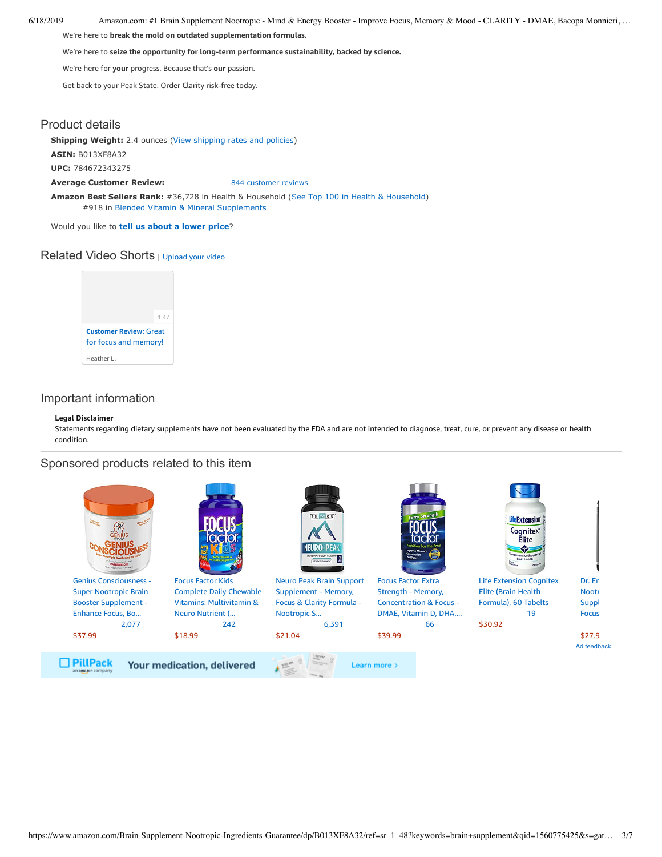We're here to **break the mold on outdated supplementation formulas.**

We're here to **seize the opportunity for long-term performance sustainability, backed by science.**

We're here for **your** progress. Because that's **our** passion.

Get back to your Peak State. Order Clarity risk-free today.

## Product details

**Shipping Weight:** 2.4 ounces [\(View shipping rates and policies\)](https://www.amazon.com/gp/help/seller/shipping.html/ref=dp_pd_shipping?ie=UTF8&asin=B013XF8A32&seller=ATVPDKIKX0DER)

**ASIN:** B013XF8A32

**UPC:** 784672343275

**Average Customer Review:** [844 customer reviews](https://www.amazon.com/product-reviews/B013XF8A32/ref=acr_dpproductdetail_text?ie=UTF8&showViewpoints=1)

**Amazon Best Sellers Rank:** #36,728 in Health & Household ([See Top 100 in Health & Household\)](https://www.amazon.com/gp/bestsellers/hpc/ref=pd_zg_ts_hpc) #918 in [Blended Vitamin & Mineral Supplements](https://www.amazon.com/gp/bestsellers/hpc/3773931/ref=pd_zg_hrsr_hpc)

Would you like to **tell us about a lower price**?

## Related Video Shorts | [Upload](https://www.amazon.com/creatorhub/video/upload?productASIN=B013XF8A32&referringURL=ZHAvQjAxM1hGOEEzMg%3D%3D&ref=RVSW) your video



## Important information

#### **Legal Disclaimer**

Statements regarding dietary supplements have not been evaluated by the FDA and are not intended to diagnose, treat, cure, or prevent any disease or health condition.

## Sponsored products related to this item

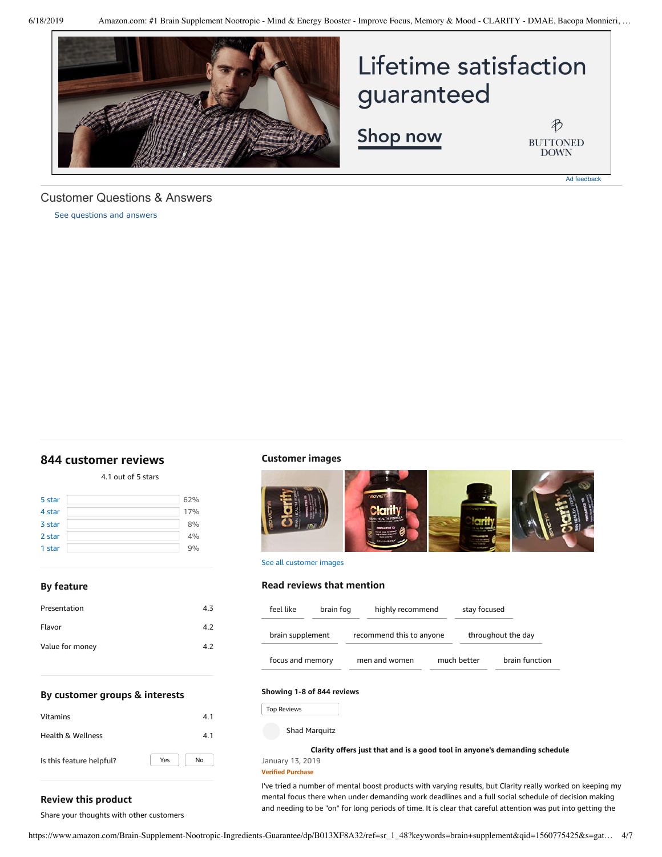

# Lifetime satisfaction guaranteed

Shop now

 $\bigoplus$ **BUTTONED DOWN** 

Ad feedback

<span id="page-3-1"></span>Customer Questions & Answers

[See questions and answers](https://www.amazon.com/ask/questions/asin/B013XF8A32/ref=cm_cd_dp_lla_ql_ll)

## <span id="page-3-0"></span>**[844 customer](https://www.amazon.com/Brain-Supplement-Nootropic-Monnieri-Huperzine/product-reviews/B013XF8A32/ref=cm_cr_dp_d_show_all_top?ie=UTF8&reviewerType=all_reviews) reviews**

4.1 out of 5 [stars](javascript:void(0))

| 5 star | 62% |
|--------|-----|
| 4 star | 17% |
| 3 star | 8%  |
| 2 star | 4%  |
| 1 star | 9%  |
|        |     |

**By feature**

| Presentation    | 4.3 |
|-----------------|-----|
| Flavor          | 4.2 |
| Value for money | 4.2 |
|                 |     |

#### **Customer images**



See all customer images

#### **Read reviews that mention**

| feel like        | brain fog | highly recommend         |  | stay focused       |                |
|------------------|-----------|--------------------------|--|--------------------|----------------|
| brain supplement |           | recommend this to anyone |  | throughout the day |                |
| focus and memory |           | men and women            |  | much better        | brain function |

#### **By customer groups & interests**

| <b>Vitamins</b>          | 4.1       |
|--------------------------|-----------|
| Health & Wellness        | 4.1       |
| Is this feature helpful? | No<br>Yes |

#### **Showing 1-8 of 844 reviews**

Top Reviews Top Reviews

Shad Marquitz

**Clarity offers just that and is a good tool in anyone's [demanding](https://www.amazon.com/gp/customer-reviews/R3P1OB5JPNXVEP/ref=cm_cr_dp_d_rvw_ttl?ie=UTF8&ASIN=B013XF8A32) schedule**

#### January 13, 2019 **Verified Purchase**

I've tried a number of mental boost products with varying results, but Clarity really worked on keeping my mental focus there when under demanding work deadlines and a full social schedule of decision making and needing to be "on" for long periods of time. It is clear that careful attention was put into getting the

**Review this product**

Share your thoughts with other customers

https://www.amazon.com/Brain-Supplement-Nootropic-Ingredients-Guarantee/dp/B013XF8A32/ref=sr\_1\_48?keywords=brain+supplement&qid=1560775425&s=gat… 4/7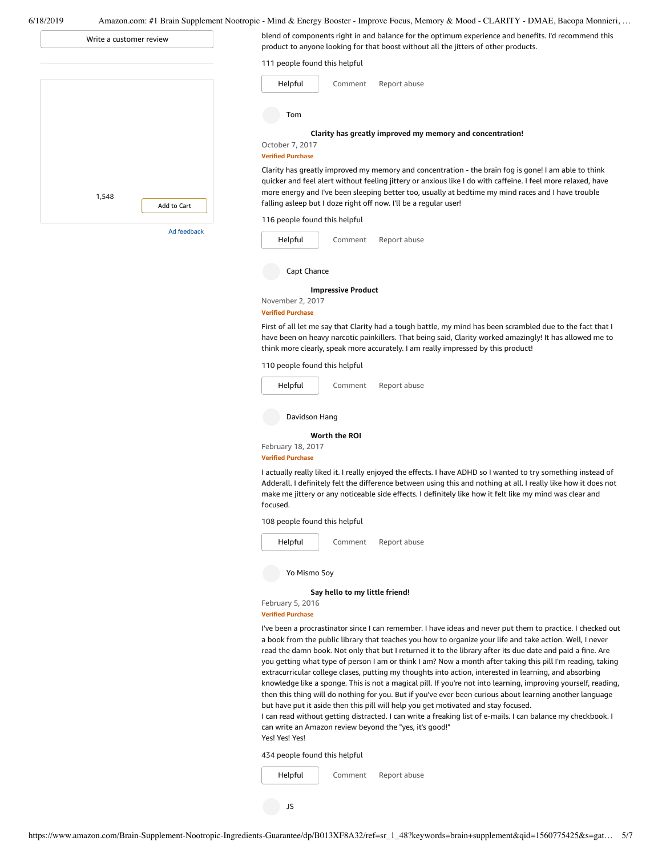| Write a customer review | blend of components right in and balance for the optimum experience and benefits. I'd recommend this<br>product to anyone looking for that boost without all the jitters of other products.                                                                                                                                                                                                                                                                                                                                                                                                                                                                                                                                                                                                                                                                                                                                                                                                                                                                  |
|-------------------------|--------------------------------------------------------------------------------------------------------------------------------------------------------------------------------------------------------------------------------------------------------------------------------------------------------------------------------------------------------------------------------------------------------------------------------------------------------------------------------------------------------------------------------------------------------------------------------------------------------------------------------------------------------------------------------------------------------------------------------------------------------------------------------------------------------------------------------------------------------------------------------------------------------------------------------------------------------------------------------------------------------------------------------------------------------------|
|                         | 111 people found this helpful                                                                                                                                                                                                                                                                                                                                                                                                                                                                                                                                                                                                                                                                                                                                                                                                                                                                                                                                                                                                                                |
|                         | Helpful<br>Comment<br>Report abuse                                                                                                                                                                                                                                                                                                                                                                                                                                                                                                                                                                                                                                                                                                                                                                                                                                                                                                                                                                                                                           |
|                         | Tom                                                                                                                                                                                                                                                                                                                                                                                                                                                                                                                                                                                                                                                                                                                                                                                                                                                                                                                                                                                                                                                          |
|                         | Clarity has greatly improved my memory and concentration!<br>October 7, 2017<br><b>Verified Purchase</b>                                                                                                                                                                                                                                                                                                                                                                                                                                                                                                                                                                                                                                                                                                                                                                                                                                                                                                                                                     |
| Add to Cart             | Clarity has greatly improved my memory and concentration - the brain fog is gone! I am able to think<br>quicker and feel alert without feeling jittery or anxious like I do with caffeine. I feel more relaxed, have<br>more energy and I've been sleeping better too, usually at bedtime my mind races and I have trouble<br>falling asleep but I doze right off now. I'll be a regular user!                                                                                                                                                                                                                                                                                                                                                                                                                                                                                                                                                                                                                                                               |
|                         | 116 people found this helpful                                                                                                                                                                                                                                                                                                                                                                                                                                                                                                                                                                                                                                                                                                                                                                                                                                                                                                                                                                                                                                |
| Ad feedback             | Helpful<br>Report abuse<br>Comment                                                                                                                                                                                                                                                                                                                                                                                                                                                                                                                                                                                                                                                                                                                                                                                                                                                                                                                                                                                                                           |
|                         | Capt Chance                                                                                                                                                                                                                                                                                                                                                                                                                                                                                                                                                                                                                                                                                                                                                                                                                                                                                                                                                                                                                                                  |
|                         | <b>Impressive Product</b><br>November 2, 2017<br><b>Verified Purchase</b>                                                                                                                                                                                                                                                                                                                                                                                                                                                                                                                                                                                                                                                                                                                                                                                                                                                                                                                                                                                    |
|                         | First of all let me say that Clarity had a tough battle, my mind has been scrambled due to the fact that I<br>have been on heavy narcotic painkillers. That being said, Clarity worked amazingly! It has allowed me to<br>think more clearly, speak more accurately. I am really impressed by this product!                                                                                                                                                                                                                                                                                                                                                                                                                                                                                                                                                                                                                                                                                                                                                  |
|                         | 110 people found this helpful                                                                                                                                                                                                                                                                                                                                                                                                                                                                                                                                                                                                                                                                                                                                                                                                                                                                                                                                                                                                                                |
|                         | Helpful<br>Report abuse<br>Comment                                                                                                                                                                                                                                                                                                                                                                                                                                                                                                                                                                                                                                                                                                                                                                                                                                                                                                                                                                                                                           |
|                         | Davidson Hang                                                                                                                                                                                                                                                                                                                                                                                                                                                                                                                                                                                                                                                                                                                                                                                                                                                                                                                                                                                                                                                |
|                         | Worth the ROI<br>February 18, 2017                                                                                                                                                                                                                                                                                                                                                                                                                                                                                                                                                                                                                                                                                                                                                                                                                                                                                                                                                                                                                           |
|                         | <b>Verified Purchase</b><br>I actually really liked it. I really enjoyed the effects. I have ADHD so I wanted to try something instead of<br>Adderall. I definitely felt the difference between using this and nothing at all. I really like how it does not<br>make me jittery or any noticeable side effects. I definitely like how it felt like my mind was clear and<br>focused.                                                                                                                                                                                                                                                                                                                                                                                                                                                                                                                                                                                                                                                                         |
|                         | 108 people found this helpful                                                                                                                                                                                                                                                                                                                                                                                                                                                                                                                                                                                                                                                                                                                                                                                                                                                                                                                                                                                                                                |
|                         | Helpful<br>Report abuse<br>Comment                                                                                                                                                                                                                                                                                                                                                                                                                                                                                                                                                                                                                                                                                                                                                                                                                                                                                                                                                                                                                           |
|                         | Yo Mismo Sov                                                                                                                                                                                                                                                                                                                                                                                                                                                                                                                                                                                                                                                                                                                                                                                                                                                                                                                                                                                                                                                 |
|                         | Say hello to my little friend!                                                                                                                                                                                                                                                                                                                                                                                                                                                                                                                                                                                                                                                                                                                                                                                                                                                                                                                                                                                                                               |
|                         | February 5, 2016<br><b>Verified Purchase</b>                                                                                                                                                                                                                                                                                                                                                                                                                                                                                                                                                                                                                                                                                                                                                                                                                                                                                                                                                                                                                 |
|                         | I've been a procrastinator since I can remember. I have ideas and never put them to practice. I checked out<br>a book from the public library that teaches you how to organize your life and take action. Well, I never<br>read the damn book. Not only that but I returned it to the library after its due date and paid a fine. Are<br>you getting what type of person I am or think I am? Now a month after taking this pill I'm reading, taking<br>extracurricular college clases, putting my thoughts into action, interested in learning, and absorbing<br>knowledge like a sponge. This is not a magical pill. If you're not into learning, improving yourself, reading,<br>then this thing will do nothing for you. But if you've ever been curious about learning another language<br>but have put it aside then this pill will help you get motivated and stay focused.<br>I can read without getting distracted. I can write a freaking list of e-mails. I can balance my checkbook. I<br>can write an Amazon review beyond the "yes, it's good!" |

434 people found this helpful

[Comment](https://www.amazon.com/gp/customer-reviews/RS6FN0NJJTB2H/ref=cm_cr_dp_d_rvw_btm?ie=UTF8&ASIN=B013XF8A32#wasThisHelpful) [Report](https://www.amazon.com/hz/reviews-render/report-abuse?ie=UTF8&voteDomain=Reviews&ref=cm_cr_dp_d_rvw_hlp&csrfT=gsovZX%2FHWTY%2FVJP4pZbw4SAvzfcO8wlpLeRbxQ8AAAABAAAAAF0I4KVyYXcAAAAA%2B4kUEk%2F7iMGR3xPcX6iU&entityId=RS6FN0NJJTB2H&sessionId=143-6729050-3493109) abuse [Helpful](https://www.amazon.com/ap/signin?openid.return_to=https%3A%2F%2Fwww.amazon.com%2Fdp%2FB013XF8A32%2Fref%3Dcm_cr_dp_d_vote_lft%3Fie%3DUTF8%26voteInstanceId%3DRS6FN0NJJTB2H%26voteValue%3D1%26csrfT%3DgsovZX%252FHWTY%252FVJP4pZbw4SAvzfcO8wlpLeRbxQ8AAAABAAAAAF0I4KVyYXcAAAAA%252B4kUEk%252F7iMGR3xPcX6iU%23RS6FN0NJJTB2H&openid.identity=http%3A%2F%2Fspecs.openid.net%2Fauth%2F2.0%2Fidentifier_select&openid.claimed_id=http%3A%2F%2Fspecs.openid.net%2Fauth%2F2.0%2Fidentifier_select&openid.assoc_handle=usflex&openid.mode=checkid_setup&openid.ns=http%3A%2F%2Fspecs.openid.net%2Fauth%2F2.0)

JS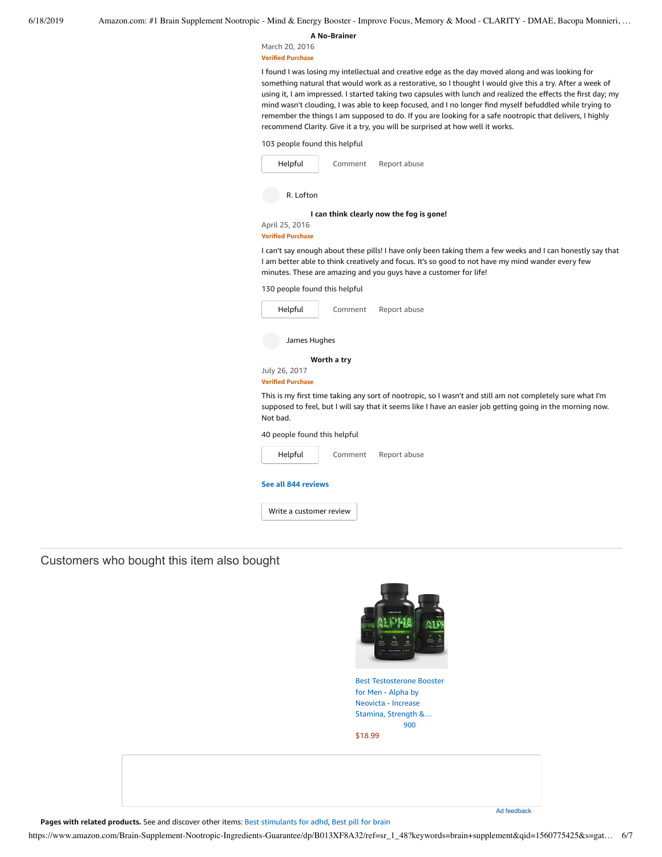**A [No-Brainer](https://www.amazon.com/gp/customer-reviews/R3EEM0S7DH8217/ref=cm_cr_dp_d_rvw_ttl?ie=UTF8&ASIN=B013XF8A32)**

March 20, 2016

**Verified Purchase**

I found I was losing my intellectual and creative edge as the day moved along and was looking for something natural that would work as a restorative, so I thought I would give this a try. After a week of using it, I am impressed. I started taking two capsules with lunch and realized the effects the first day; my mind wasn't clouding, I was able to keep focused, and I no longer find myself befuddled while trying to remember the things I am supposed to do. If you are looking for a safe nootropic that delivers, I highly recommend Clarity. Give it a try, you will be surprised at how well it works.

| 103 people found this helpful |  |
|-------------------------------|--|
|-------------------------------|--|

| Helpful<br>Comment<br>Report abuse                                                                                                                                                                                                                                                   |
|--------------------------------------------------------------------------------------------------------------------------------------------------------------------------------------------------------------------------------------------------------------------------------------|
| R. Lofton                                                                                                                                                                                                                                                                            |
| I can think clearly now the fog is gone!<br>April 25, 2016<br><b>Verified Purchase</b>                                                                                                                                                                                               |
| I can't say enough about these pills! I have only been taking them a few weeks and I can honestly say that<br>I am better able to think creatively and focus. It's so good to not have my mind wander every few<br>minutes. These are amazing and you guys have a customer for life! |
| 130 people found this helpful                                                                                                                                                                                                                                                        |
| Helpful<br>Comment<br>Report abuse                                                                                                                                                                                                                                                   |
| James Hughes                                                                                                                                                                                                                                                                         |
| Worth a try                                                                                                                                                                                                                                                                          |
| July 26, 2017<br><b>Verified Purchase</b>                                                                                                                                                                                                                                            |
| This is my first time taking any sort of nootropic, so I wasn't and still am not completely sure what I'm<br>supposed to feel, but I will say that it seems like I have an easier job getting going in the morning now.<br>Not bad.                                                  |
| 40 people found this helpful                                                                                                                                                                                                                                                         |
| Helpful<br>Comment<br>Report abuse                                                                                                                                                                                                                                                   |
| See all 844 reviews                                                                                                                                                                                                                                                                  |

Write a [customer](https://www.amazon.com/review/create-review/ref=cm_cr_dp_d_wr_but_btm?ie=UTF8&channel=glance-detail&asin=B013XF8A32) review

## Customers who bought this item also bought



Best [Testosterone](https://www.amazon.com/Best-Testosterone-Booster-Supplement-Men/dp/B00UUJMFBS/ref=pd_sim_121_1/143-6729050-3493109?_encoding=UTF8&pd_rd_i=B00UUJMFBS&pd_rd_r=2e1cbd07-91c9-11e9-a6be-6dd986981228&pd_rd_w=xcpyT&pd_rd_wg=YRFge&pf_rd_p=90485860-83e9-4fd9-b838-b28a9b7fda30&pf_rd_r=M2S70C5A1EN275SV7M6N&psc=1&refRID=M2S70C5A1EN275SV7M6N) Booster for Men - Alpha by Neovicta - Increase Stamina, Strength &… [900](https://www.amazon.com/product-reviews/B00UUJMFBS/ref=pd_sim_121_cr_1/143-6729050-3493109?ie=UTF8&pd_rd_i=B00UUJMFBS&pd_rd_r=2e1cbd07-91c9-11e9-a6be-6dd986981228&pd_rd_w=xcpyT&pd_rd_wg=YRFge&pf_rd_p=90485860-83e9-4fd9-b838-b28a9b7fda30&pf_rd_r=M2S70C5A1EN275SV7M6N&refRID=M2S70C5A1EN275SV7M6N) [\\$18.99](https://www.amazon.com/Best-Testosterone-Booster-Supplement-Men/dp/B00UUJMFBS/ref=pd_sim_121_1/143-6729050-3493109?_encoding=UTF8&pd_rd_i=B00UUJMFBS&pd_rd_r=2e1cbd07-91c9-11e9-a6be-6dd986981228&pd_rd_w=xcpyT&pd_rd_wg=YRFge&pf_rd_p=90485860-83e9-4fd9-b838-b28a9b7fda30&pf_rd_r=M2S70C5A1EN275SV7M6N&psc=1&refRID=M2S70C5A1EN275SV7M6N)

**Pages with related products.** See and discover other items: Best [stimulants](https://www.amazon.com/customerpicks/Best-stimulants-for-adhd/397c2c2960a86d7a08e7?_encoding=UTF8&ref_=fs_blw_d_customerpicks_1) for adhd, Best pill for [brain](https://www.amazon.com/customerpicks/Best-pill-for-brain/7cd3cb4d7b072ecb9358?_encoding=UTF8&ref_=fs_blw_d_customerpicks_2)

Ad feedback

https://www.amazon.com/Brain-Supplement-Nootropic-Ingredients-Guarantee/dp/B013XF8A32/ref=sr\_1\_48?keywords=brain+supplement&qid=1560775425&s=gat… 6/7